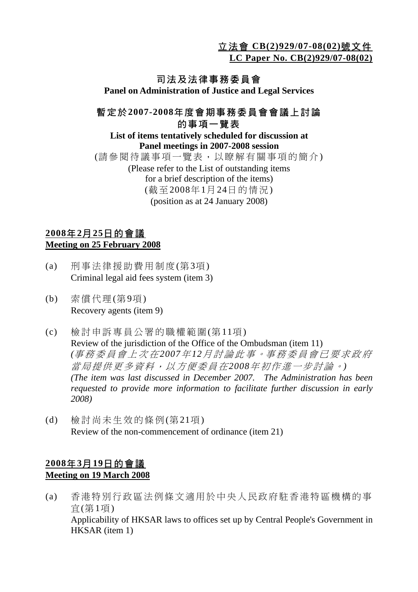立法會 **CB(2)929/07-08(02)**號文件

**LC Paper No. CB(2)929/07-08(02)**

# 司法及法律事務委員會

**Panel on Administration of Justice and Legal Services** 

### 暫定於**2007-2008**年度會期事務委員會會議上討論 的事項一覽表

#### **List of items tentatively scheduled for discussion at Panel meetings in 2007-2008 session**  (請參閱待議事項一覽表,以瞭解有關事項的簡介) (Please refer to the List of outstanding items for a brief description of the items) (截至2008年1月24日的情況) (position as at 24 January 2008)

### **2008**年**2**月**25**日的會議 **Meeting on 25 February 2008**

- (a) 刑事法律援助費用制度(第3項) Criminal legal aid fees system (item 3)
- (b) 索償代理(第9項) Recovery agents (item 9)
- (c) 檢討申訴專員公署的職權範圍(第11項) Review of the jurisdiction of the Office of the Ombudsman (item 11)  *(*事務委員會上次在 *2007*年 *12*月討論此事。事務委員會已要求政府 當局提供更多資料,以方便委員在*2008*年初作進一步討論。*) (The item was last discussed in December 2007. The Administration has been requested to provide more information to facilitate further discussion in early 2008)*
- (d) 檢討尚未生效的條例(第21項) Review of the non-commencement of ordinance (item 21)

### **2008**年**3**月**19**日的會議 **Meeting on 19 March 2008**

(a) 香港特別行政區法例條文適用於中央人民政府駐香港特區機構的事 宜(第1項) Applicability of HKSAR laws to offices set up by Central People's Government in HKSAR (item 1)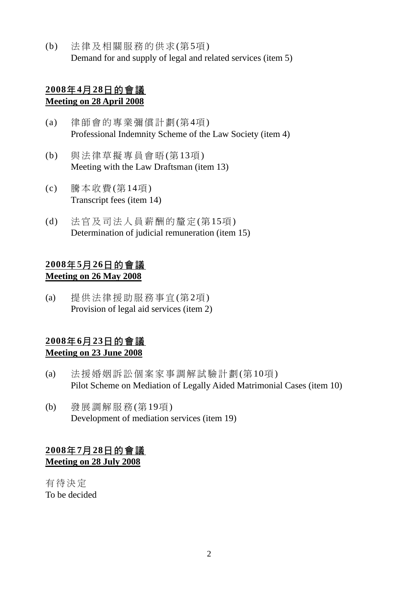(b) 法律及相關服務的供求(第5項) Demand for and supply of legal and related services (item 5)

#### **2008**年**4**月**28**日的會議 **Meeting on 28 April 2008**

- (a) 律師會的專業彌償計劃(第4項) Professional Indemnity Scheme of the Law Society (item 4)
- (b) 與法律草擬專員會晤(第13項) Meeting with the Law Draftsman (item 13)
- (c) 騰本收費(第14項) Transcript fees (item 14)
- (d) 法官及司法人員薪酬的釐定(第15項) Determination of judicial remuneration (item 15)

### **2008**年**5**月**26**日的會議 **Meeting on 26 May 2008**

(a) 提供法律援助服務事宜(第2項) Provision of legal aid services (item 2)

### **2008**年**6**月**23**日的會議 **Meeting on 23 June 2008**

- (a) 法援婚姻訴訟個案家事調解試驗計劃(第10項) Pilot Scheme on Mediation of Legally Aided Matrimonial Cases (item 10)
- (b) 發展調解服務(第19項) Development of mediation services (item 19)

## **2008**年**7**月**28**日的會議 **Meeting on 28 July 2008**

有待決定 To be decided